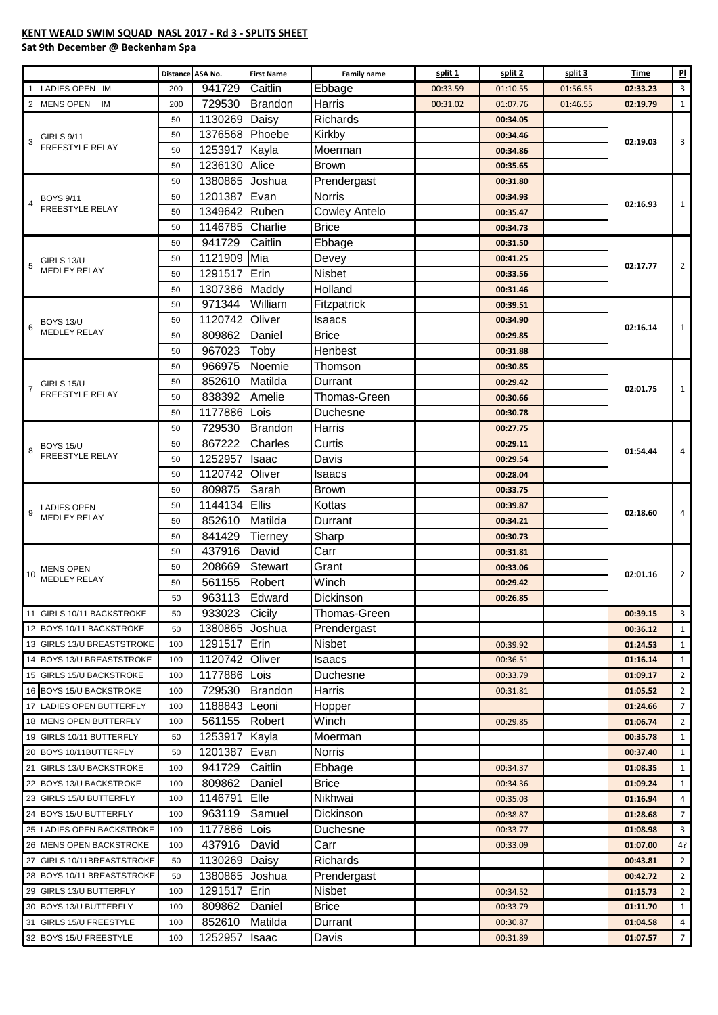## **KENT WEALD SWIM SQUAD NASL 2017 - Rd 3 - SPLITS SHEET**

## **Sat 9th December @ Beckenham Spa**

|                |                                            | <b>Distance</b> | ASA No.         | <b>First Name</b> | <b>Family name</b>             | split 1  | split 2  | split 3  | Time     | $_{\rm Pl}$             |
|----------------|--------------------------------------------|-----------------|-----------------|-------------------|--------------------------------|----------|----------|----------|----------|-------------------------|
|                | LADIES OPEN IM                             | 200             | 941729          | Caitlin           | Ebbage                         | 00:33.59 | 01:10.55 | 01:56.55 | 02:33.23 | 3                       |
| 2              | <b>MENS OPEN</b><br>IM                     | 200             | 729530          | <b>Brandon</b>    | Harris                         | 00:31.02 | 01:07.76 | 01:46.55 | 02:19.79 | $\mathbf{1}$            |
| 3              |                                            | 50              | 1130269 Daisy   |                   | Richards                       |          | 00:34.05 |          |          | $\overline{3}$          |
|                | <b>GIRLS 9/11</b>                          | 50              | 1376568 Phoebe  |                   | Kirkby                         |          | 00:34.46 |          |          |                         |
|                | FREESTYLE RELAY                            | 50              | 1253917 Kayla   |                   | Moerman                        |          | 00:34.86 |          | 02:19.03 |                         |
|                |                                            | 50              | 1236130 Alice   |                   | Brown                          |          | 00:35.65 |          |          |                         |
|                | <b>BOYS 9/11</b><br><b>FREESTYLE RELAY</b> | 50              | 1380865 Joshua  |                   | Prendergast                    |          | 00:31.80 |          |          | $\mathbf{1}$            |
|                |                                            | 50              | 1201387 Evan    |                   | <b>Norris</b>                  |          | 00:34.93 |          |          |                         |
|                |                                            | 50              | 1349642 Ruben   |                   | <b>Cowley Antelo</b>           |          | 00:35.47 |          | 02:16.93 |                         |
|                |                                            | 50              | 1146785         | Charlie           | <b>Brice</b>                   |          | 00:34.73 |          |          |                         |
| 5              | GIRLS 13/U<br><b>MEDLEY RELAY</b>          | 50              | 941729          | Caitlin           | Ebbage                         |          | 00:31.50 |          |          |                         |
|                |                                            | 50              | 1121909         | Mia               | Devey                          |          | 00:41.25 |          |          |                         |
|                |                                            | 50              | 1291517 Erin    |                   | <b>Nisbet</b>                  |          | 00:33.56 |          | 02:17.77 | $\overline{2}$          |
|                |                                            | 50              | 1307386 Maddy   |                   | Holland                        |          | 00:31.46 |          |          |                         |
|                |                                            | 50              | 971344          | William           | Fitzpatrick                    |          | 00:39.51 |          |          |                         |
|                |                                            | 50              | 1120742         | Oliver            | Isaacs                         |          | 00:34.90 |          |          |                         |
| 6              | BOYS 13/U<br><b>MEDLEY RELAY</b>           | 50              | 809862          | Daniel            | <b>Brice</b>                   |          | 00:29.85 |          | 02:16.14 | $\mathbf{1}$            |
|                |                                            | 50              | 967023          | Toby              | Henbest                        |          |          |          |          |                         |
|                |                                            | 50              | 966975          | Noemie            | Thomson                        |          | 00:31.88 |          |          |                         |
|                |                                            |                 |                 | Matilda           |                                |          | 00:30.85 |          |          | $\mathbf{1}$<br>4       |
| $\overline{7}$ | GIRLS 15/U<br><b>FREESTYLE RELAY</b>       | 50              | 852610          | Amelie            | Durrant<br><b>Thomas-Green</b> |          | 00:29.42 |          | 02:01.75 |                         |
|                |                                            | 50              | 838392          |                   |                                |          | 00:30.66 |          |          |                         |
|                |                                            | 50              | 1177886         | Lois              | Duchesne                       |          | 00:30.78 |          |          |                         |
|                | <b>BOYS 15/U</b><br>FREESTYLE RELAY        | 50              | 729530          | <b>Brandon</b>    | Harris                         |          | 00:27.75 |          |          |                         |
| 8              |                                            | 50              | 867222          | Charles           | Curtis                         |          | 00:29.11 |          | 01:54.44 |                         |
|                |                                            | 50              | 1252957         | Isaac             | Davis                          |          | 00:29.54 |          |          |                         |
|                | LADIES OPEN<br><b>MEDLEY RELAY</b>         | 50              | 1120742         | Oliver            | Isaacs                         |          | 00:28.04 |          | 02:18.60 | 4                       |
|                |                                            | 50              | 809875          | Sarah             | <b>Brown</b>                   |          | 00:33.75 |          |          |                         |
| $\mathbf{Q}$   |                                            | 50              | 1144134 Ellis   |                   | Kottas                         |          | 00:39.87 |          |          |                         |
|                |                                            | 50              | 852610          | Matilda           | Durrant                        |          | 00:34.21 |          |          |                         |
|                |                                            | 50              | 841429          | <b>Tierney</b>    | Sharp                          |          | 00:30.73 |          |          |                         |
|                | MENS OPEN<br><b>MEDLEY RELAY</b>           | 50              | 437916          | David             | Carr                           |          | 00:31.81 |          |          | $\overline{2}$          |
| 10             |                                            | 50              | 208669          | <b>Stewart</b>    | Grant                          |          | 00:33.06 |          | 02:01.16 |                         |
|                |                                            | 50              | 561155          | Robert            | Winch                          |          | 00:29.42 |          |          |                         |
|                |                                            | 50              | 963113          | Edward            | Dickinson                      |          | 00:26.85 |          |          |                         |
|                | 11 GIRLS 10/11 BACKSTROKE                  | 50              | 933023 Cicily   |                   | Thomas-Green                   |          |          |          | 00:39.15 | $\overline{\mathbf{3}}$ |
|                | 12 BOYS 10/11 BACKSTROKE                   | 50              | 1380865 Joshua  |                   | Prendergast                    |          |          |          | 00:36.12 | $\mathbf{1}$            |
|                | 13 GIRLS 13/U BREASTSTROKE                 | 100             | 1291517 Erin    |                   | Nisbet                         |          | 00:39.92 |          | 01:24.53 | $\mathbf{1}$            |
|                | 14 BOYS 13/U BREASTSTROKE                  | 100             | 1120742 Oliver  |                   | Isaacs                         |          | 00:36.51 |          | 01:16.14 | $\mathbf{1}$            |
|                | 15 GIRLS 15/U BACKSTROKE                   | 100             | 1177886 Lois    |                   | Duchesne                       |          | 00:33.79 |          | 01:09.17 | $\overline{2}$          |
|                | 16 BOYS 15/U BACKSTROKE                    | 100             | 729530          | <b>Brandon</b>    | Harris                         |          | 00:31.81 |          | 01:05.52 | $\overline{2}$          |
|                | 17 LADIES OPEN BUTTERFLY                   | 100             | 1188843 Leoni   |                   | Hopper                         |          |          |          | 01:24.66 | $7\overline{ }$         |
|                | 18 MENS OPEN BUTTERFLY                     | 100             | 561155          | Robert            | Winch                          |          | 00:29.85 |          | 01:06.74 | $\overline{2}$          |
|                | 19 GIRLS 10/11 BUTTERFLY                   | 50              | 1253917 Kayla   |                   | Moerman                        |          |          |          | 00:35.78 | $\mathbf{1}$            |
|                | 20 BOYS 10/11BUTTERFLY                     | 50              | 1201387 Evan    |                   | <b>Norris</b>                  |          |          |          | 00:37.40 | $\mathbf{1}$            |
|                | 21 GIRLS 13/U BACKSTROKE                   | 100             | 941729          | Caitlin           | Ebbage                         |          | 00:34.37 |          | 01:08.35 | $\mathbf{1}$            |
|                | 22 BOYS 13/U BACKSTROKE                    | 100             | 809862          | Daniel            | <b>Brice</b>                   |          | 00:34.36 |          | 01:09.24 | $\mathbf{1}$            |
|                | 23 GIRLS 15/U BUTTERFLY                    | 100             | 1146791 Elle    |                   | Nikhwai                        |          | 00:35.03 |          | 01:16.94 | 4                       |
|                | 24 BOYS 15/U BUTTERFLY                     | 100             | 963119          | Samuel            | Dickinson                      |          | 00:38.87 |          | 01:28.68 | $7\overline{ }$         |
|                | 25 LADIES OPEN BACKSTROKE                  | 100             | 1177886 Lois    |                   | Duchesne                       |          | 00:33.77 |          | 01:08.98 | $\overline{3}$          |
|                | 26 MENS OPEN BACKSTROKE                    | 100             | 437916          | David             | Carr                           |          | 00:33.09 |          | 01:07.00 | 4?                      |
| 27             | GIRLS 10/11BREASTSTROKE                    | 50              | 1130269 Daisy   |                   | Richards                       |          |          |          | 00:43.81 | $\overline{2}$          |
|                | 28 BOYS 10/11 BREASTSTROKE                 | 50              | 1380865 Joshua  |                   | Prendergast                    |          |          |          | 00:42.72 | $\overline{2}$          |
|                | 29 GIRLS 13/U BUTTERFLY                    | 100             | 1291517 Erin    |                   | Nisbet                         |          | 00:34.52 |          | 01:15.73 | $\overline{2}$          |
|                | 30 BOYS 13/U BUTTERFLY                     | 100             | 809862          | Daniel            | <b>Brice</b>                   |          | 00:33.79 |          | 01:11.70 | $\mathbf{1}$            |
|                | 31 GIRLS 15/U FREESTYLE                    | 100             | 852610          | Matilda           | Durrant                        |          | 00:30.87 |          | 01:04.58 | $\overline{4}$          |
|                | 32 BOYS 15/U FREESTYLE                     | 100             | 1252957   Isaac |                   | Davis                          |          | 00:31.89 |          | 01:07.57 | $7^{\circ}$             |